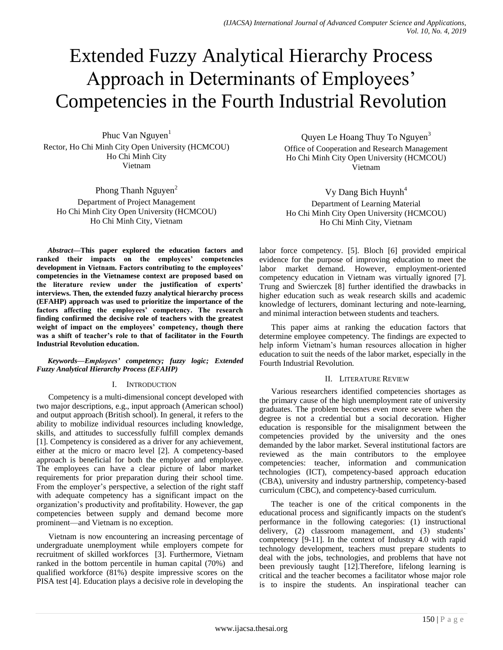# Extended Fuzzy Analytical Hierarchy Process Approach in Determinants of Employees' Competencies in the Fourth Industrial Revolution

Phuc Van Nguyen<sup>1</sup> Rector, Ho Chi Minh City Open University (HCMCOU) Ho Chi Minh City Vietnam

Phong Thanh Nguyen<sup>2</sup> Department of Project Management Ho Chi Minh City Open University (HCMCOU) Ho Chi Minh City, Vietnam

*Abstract***—This paper explored the education factors and ranked their impacts on the employees' competencies development in Vietnam. Factors contributing to the employees' competencies in the Vietnamese context are proposed based on the literature review under the justification of experts' interviews. Then, the extended fuzzy analytical hierarchy process (EFAHP) approach was used to prioritize the importance of the factors affecting the employees' competency. The research finding confirmed the decisive role of teachers with the greatest weight of impact on the employees' competency, though there was a shift of teacher's role to that of facilitator in the Fourth Industrial Revolution education.**

## *Keywords—Employees' competency; fuzzy logic; Extended Fuzzy Analytical Hierarchy Process (EFAHP)*

## I. INTRODUCTION

Competency is a multi-dimensional concept developed with two major descriptions, e.g., input approach (American school) and output approach (British school). In general, it refers to the ability to mobilize individual resources including knowledge, skills, and attitudes to successfully fulfill complex demands [1]. Competency is considered as a driver for any achievement, either at the micro or macro level [2]. A competency-based approach is beneficial for both the employer and employee. The employees can have a clear picture of labor market requirements for prior preparation during their school time. From the employer's perspective, a selection of the right staff with adequate competency has a significant impact on the organization's productivity and profitability. However, the gap competencies between supply and demand become more prominent—and Vietnam is no exception.

Vietnam is now encountering an increasing percentage of undergraduate unemployment while employers compete for recruitment of skilled workforces [3]. Furthermore, Vietnam ranked in the bottom percentile in human capital (70%) and qualified workforce (81%) despite impressive scores on the PISA test [4]. Education plays a decisive role in developing the

Quyen Le Hoang Thuy To Nguyen<sup>3</sup> Office of Cooperation and Research Management Ho Chi Minh City Open University (HCMCOU) Vietnam

Vy Dang Bich Huynh<sup>4</sup> Department of Learning Material Ho Chi Minh City Open University (HCMCOU) Ho Chi Minh City, Vietnam

labor force competency. [5]. Bloch [6] provided empirical evidence for the purpose of improving education to meet the labor market demand. However, employment-oriented competency education in Vietnam was virtually ignored [7]. Trung and Swierczek [8] further identified the drawbacks in higher education such as weak research skills and academic knowledge of lecturers, dominant lecturing and note-learning, and minimal interaction between students and teachers.

This paper aims at ranking the education factors that determine employee competency. The findings are expected to help inform Vietnam's human resources allocation in higher education to suit the needs of the labor market, especially in the Fourth Industrial Revolution.

# II. LITERATURE REVIEW

Various researchers identified competencies shortages as the primary cause of the high unemployment rate of university graduates. The problem becomes even more severe when the degree is not a credential but a social decoration. Higher education is responsible for the misalignment between the competencies provided by the university and the ones demanded by the labor market. Several institutional factors are reviewed as the main contributors to the employee competencies: teacher, information and communication technologies (ICT), competency-based approach education (CBA), university and industry partnership, competency-based curriculum (CBC), and competency-based curriculum.

The teacher is one of the critical components in the educational process and significantly impacts on the student's performance in the following categories: (1) instructional delivery, (2) classroom management, and (3) students' competency [9-11]. In the context of Industry 4.0 with rapid technology development, teachers must prepare students to deal with the jobs, technologies, and problems that have not been previously taught [12].Therefore, lifelong learning is critical and the teacher becomes a facilitator whose major role is to inspire the students. An inspirational teacher can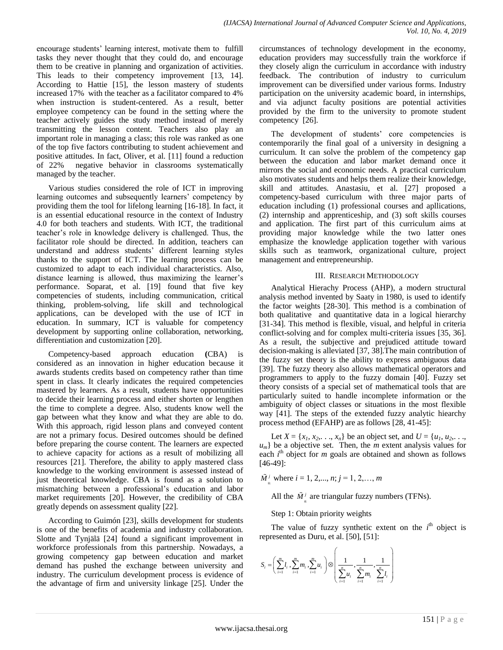encourage students' learning interest, motivate them to fulfill tasks they never thought that they could do, and encourage them to be creative in planning and organization of activities. This leads to their competency improvement [13, 14]. According to Hattie [15], the lesson mastery of students increased 17% with the teacher as a facilitator compared to 4% when instruction is student-centered. As a result, better employee competency can be found in the setting where the teacher actively guides the study method instead of merely transmitting the lesson content. Teachers also play an important role in managing a class; this role was ranked as one of the top five factors contributing to student achievement and positive attitudes. In fact, Oliver, et al. [11] found a reduction of 22% negative behavior in classrooms systematically managed by the teacher.

Various studies considered the role of ICT in improving learning outcomes and subsequently learners' competency by providing them the tool for lifelong learning [16-18]. In fact, it is an essential educational resource in the context of Industry 4.0 for both teachers and students. With ICT, the traditional teacher's role in knowledge delivery is challenged. Thus, the facilitator role should be directed. In addition, teachers can understand and address students' different learning styles thanks to the support of ICT. The learning process can be customized to adapt to each individual characteristics. Also, distance learning is allowed, thus maximizing the learner's performance. Soparat, et al. [19] found that five key competencies of students, including communication, critical thinking, problem-solving, life skill and technological applications, can be developed with the use of ICT in education. In summary, ICT is valuable for competency development by supporting online collaboration, networking, differentiation and customization [20].

Competency-based approach education **(**CBA) is considered as an innovation in higher education because it awards students credits based on competency rather than time spent in class. It clearly indicates the required competencies mastered by learners. As a result, students have opportunities to decide their learning process and either shorten or lengthen the time to complete a degree. Also, students know well the gap between what they know and what they are able to do. With this approach, rigid lesson plans and conveyed content are not a primary focus. Desired outcomes should be defined before preparing the course content. The learners are expected to achieve capacity for actions as a result of mobilizing all resources [21]. Therefore, the ability to apply mastered class knowledge to the working environment is assessed instead of just theoretical knowledge. CBA is found as a solution to mismatching between a professional's education and labor market requirements [20]. However, the credibility of CBA greatly depends on assessment quality [22].

According to Guimón [23], skills development for students is one of the benefits of academia and industry collaboration. Slotte and Tynjälä [24] found a significant improvement in workforce professionals from this partnership. Nowadays, a growing competency gap between education and market demand has pushed the exchange between university and industry. The curriculum development process is evidence of the advantage of firm and university linkage [25]. Under the circumstances of technology development in the economy, education providers may successfully train the workforce if they closely align the curriculum in accordance with industry feedback. The contribution of industry to curriculum improvement can be diversified under various forms. Industry participation on the university academic board, in internships, and via adjunct faculty positions are potential activities provided by the firm to the university to promote student competency [26].

The development of students' core competencies is contemporarily the final goal of a university in designing a curriculum. It can solve the problem of the competency gap between the education and labor market demand once it mirrors the social and economic needs. A practical curriculum also motivates students and helps them realize their knowledge, skill and attitudes. Anastasiu, et al. [27] proposed a competency-based curriculum with three major parts of education including (1) professional courses and apllications, (2) internship and apprenticeship, and (3) soft skills courses and application. The first part of this curriculum aims at providing major knowledge while the two latter ones emphasize the knowledge application together with various skills such as teamwork, organizational culture, project management and entrepreneurship.

## III. RESEARCH METHODOLOGY

Analytical Hierachy Process (AHP), a modern structural analysis method invented by Saaty in 1980, is used to identify the factor weights [28-30]. This method is a combination of both qualitative and quantitative data in a logical hierarchy [31-34]. This method is flexible, visual, and helpful in criteria conflict-solving and for complex multi-criteria issues [35, 36]. As a result, the subjective and prejudiced attitude toward decision-making is alleviated [37, 38].The main contribution of the fuzzy set theory is the ability to express ambiguous data [39]. The fuzzy theory also allows mathematical operators and programmers to apply to the fuzzy domain [40]. Fuzzy set theory consists of a special set of mathematical tools that are particularly suited to handle incomplete information or the ambiguity of object classes or situations in the most flexible way [41]. The steps of the extended fuzzy analytic hiearchy process method (EFAHP) are as follows [28, 41-45]:

Let  $X = \{x_1, x_2, \ldots, x_n\}$  be an object set, and  $U = \{u_1, u_2, \ldots, u_n\}$  $u_m$ } be a objective set. Then, the *m* extent analysis values for each  $i^{\text{th}}$  object for *m* goals are obtained and shown as follows [46-49]:

$$
\tilde{M}_{si}^j
$$
 where  $i = 1, 2, ..., n; j = 1, 2, ..., m$ 

All the  $\tilde{M}_{N}^{j}$  are triangular fuzzy numbers (TFNs).

Step 1: Obtain priority weights

The value of fuzzy synthetic extent on the  $i<sup>th</sup>$  object is represented as Duru, et al. [50], [51]:

$$
S_i = \left(\sum_{i=1}^m l_i, \sum_{i=1}^m m_i, \sum_{i=1}^m u_i\right) \otimes \left(\frac{1}{\sum_{i=1}^n u_i}, \frac{1}{\sum_{i=1}^n m_i}, \frac{1}{\sum_{i=1}^n l_i}\right)
$$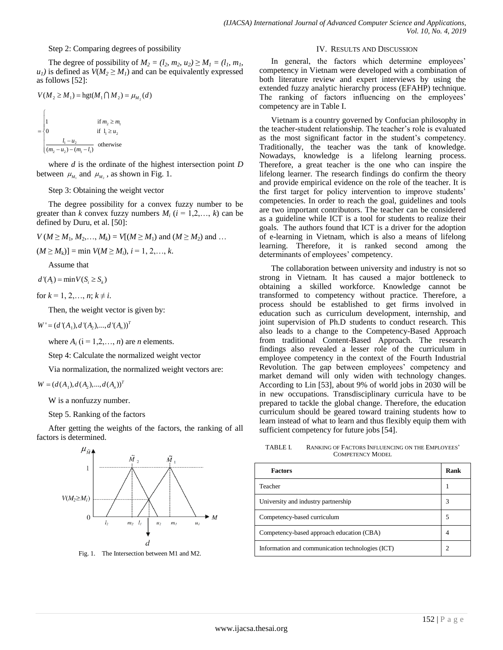Step 2: Comparing degrees of possibility

The degree of possibility of  $M_2 = (l_2, m_2, u_2) \ge M_1 = (l_1, m_1,$  $u_1$  is defined as  $V(M_2 \geq M_1)$  and can be equivalently expressed as follows [52]:

$$
V(M_2 \ge M_1) = \text{hgt}(M_1 \cap M_2) = \mu_{M_2}(d)
$$

$$
= \begin{cases} 1 & \text{if } m_2 \ge m_1 \\ 0 & \text{if } 1_1 \ge u_2 \\ \frac{l_1 - u_2}{(m_2 - u_2) - (m_1 - l_1)} & \text{otherwise} \end{cases}
$$

where *d* is the ordinate of the highest intersection point *D* between  $\mu_{M_1}$  and  $\mu_{M_2}$ , as shown in Fig. 1.

### Step 3: Obtaining the weight vector

The degree possibility for a convex fuzzy number to be greater than *k* convex fuzzy numbers  $M_i$  ( $i = 1,2,..., k$ ) can be defined by Duru, et al. [50]:

 $V(M \ge M_1, M_2, \ldots, M_k) = V[(M \ge M_1) \text{ and } (M \ge M_2) \text{ and } \ldots]$ 

$$
(M \ge M_k)
$$
] = min  $V(M \ge M_i)$ ,  $i = 1, 2, ..., k$ .

Assume that

 $d'(A_i) = \min V(S_i \geq S_k)$ 

for 
$$
k = 1, 2, ..., n; k \neq i
$$
.

Then, the weight vector is given by:

$$
W' = (d'(A_1), d'(A_2), ..., d'(A_n))^T
$$

where  $A_i$  ( $i = 1, 2, \ldots, n$ ) are *n* elements.

Step 4: Calculate the normalized weight vector

Via normalization, the normalized weight vectors are:

 $W = (d(A_1), d(A_2), ..., d(A_n))^T$ 

W is a nonfuzzy number.

Step 5. Ranking of the factors

After getting the weights of the factors, the ranking of all factors is determined.



Fig. 1. The Intersection between M1 and M2.

#### IV. RESULTS AND DISCUSSION

In general, the factors which determine employees' competency in Vietnam were developed with a combination of both literature review and expert interviews by using the extended fuzzy analytic hierarchy process (EFAHP) technique. The ranking of factors influencing on the employees' competency are in Table I.

Vietnam is a country governed by Confucian philosophy in the teacher-student relationship. The teacher's role is evaluated as the most significant factor in the student's competency. Traditionally, the teacher was the tank of knowledge. Nowadays, knowledge is a lifelong learning process. Therefore, a great teacher is the one who can inspire the lifelong learner. The research findings do confirm the theory and provide empirical evidence on the role of the teacher. It is the first target for policy intervention to improve students' competencies. In order to reach the goal, guidelines and tools are two important contributors. The teacher can be considered as a guideline while ICT is a tool for students to realize their goals. The authors found that ICT is a driver for the adoption of e-learning in Vietnam, which is also a means of lifelong learning. Therefore, it is ranked second among the determinants of employees' competency.

The collaboration between university and industry is not so strong in Vietnam. It has caused a major bottleneck to obtaining a skilled workforce. Knowledge cannot be transformed to competency without practice. Therefore, a process should be established to get firms involved in education such as curriculum development, internship, and joint supervision of Ph.D students to conduct research. This also leads to a change to the Competency-Based Approach from traditional Content-Based Approach. The research findings also revealed a lesser role of the curriculum in employee competency in the context of the Fourth Industrial Revolution. The gap between employees' competency and market demand will only widen with technology changes. According to Lin [53], about 9% of world jobs in 2030 will be in new occupations. Transdisciplinary curricula have to be prepared to tackle the global change. Therefore, the education curriculum should be geared toward training students how to learn instead of what to learn and thus flexibly equip them with sufficient competency for future jobs [54].

TABLE I. RANKING OF FACTORS INFLUENCING ON THE EMPLOYEES' COMPETENCY MODEL

| <b>Factors</b>                                   | Rank |
|--------------------------------------------------|------|
| Teacher                                          |      |
| University and industry partnership              | 3    |
| Competency-based curriculum                      | 5    |
| Competency-based approach education (CBA)        | 4    |
| Information and communication technologies (ICT) |      |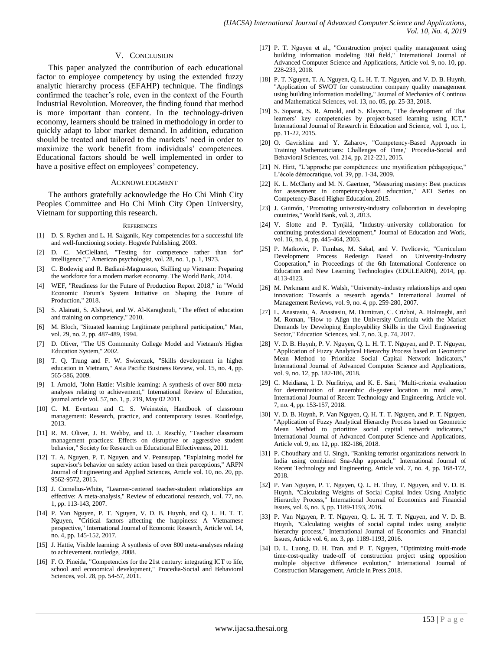#### V. CONCLUSION

This paper analyzed the contribution of each educational factor to employee competency by using the extended fuzzy analytic hierarchy process (EFAHP) technique. The findings confirmed the teacher's role, even in the context of the Fourth Industrial Revolution. Moreover, the finding found that method is more important than content. In the technology-driven economy, learners should be trained in methodology in order to quickly adapt to labor market demand. In addition, education should be treated and tailored to the markets' need in order to maximize the work benefit from individuals' competences. Educational factors should be well implemented in order to have a positive effect on employees' competency.

#### ACKNOWLEDGMENT

The authors gratefully acknowledge the Ho Chi Minh City Peoples Committee and Ho Chi Minh City Open University, Vietnam for supporting this research.

#### **REFERENCES**

- [1] D. S. Rychen and L. H. Salganik, Key competencies for a successful life and well-functioning society. Hogrefe Publishing, 2003.
- [2] D. C. McClelland, "Testing for competence rather than for" intelligence."," American psychologist, vol. 28, no. 1, p. 1, 1973.
- [3] C. Bodewig and R. Badiani-Magnusson, Skilling up Vietnam: Preparing the workforce for a modern market economy. The World Bank, 2014.
- [4] WEF, "Readiness for the Future of Production Report 2018," in "World Economic Forum's System Initiative on Shaping the Future of Production," 2018.
- [5] S. Alainati, S. Alshawi, and W. Al-Karaghouli, "The effect of education and training on competency," 2010.
- [6] M. Bloch, "Situated learning: Legitimate peripheral participation," Man, vol. 29, no. 2, pp. 487-489, 1994.
- [7] D. Oliver, "The US Community College Model and Vietnam's Higher Education System," 2002.
- [8] T. Q. Trung and F. W. Swierczek, "Skills development in higher education in Vietnam," Asia Pacific Business Review, vol. 15, no. 4, pp. 565-586, 2009.
- [9] I. Arnold, "John Hattie: Visible learning: A synthesis of over 800 metaanalyses relating to achievement," International Review of Education, journal article vol. 57, no. 1, p. 219, May 02 2011.
- [10] C. M. Evertson and C. S. Weinstein, Handbook of classroom management: Research, practice, and contemporary issues. Routledge, 2013.
- [11] R. M. Oliver, J. H. Wehby, and D. J. Reschly, "Teacher classroom management practices: Effects on disruptive or aggressive student behavior," Society for Research on Educational Effectiveness, 2011.
- [12] T. A. Nguyen, P. T. Nguyen, and V. Peansupap, "Explaining model for supervisor's behavior on safety action based on their perceptions," ARPN Journal of Engineering and Applied Sciences, Article vol. 10, no. 20, pp. 9562-9572, 2015.
- [13] J. Cornelius-White, "Learner-centered teacher-student relationships are effective: A meta-analysis," Review of educational research, vol. 77, no. 1, pp. 113-143, 2007.
- [14] P. Van Nguyen, P. T. Nguyen, V. D. B. Huynh, and Q. L. H. T. T. Nguyen, "Critical factors affecting the happiness: A Vietnamese perspective," International Journal of Economic Research, Article vol. 14, no. 4, pp. 145-152, 2017.
- [15] J. Hattie, Visible learning: A synthesis of over 800 meta-analyses relating to achievement. routledge, 2008.
- [16] F. O. Pineida, "Competencies for the 21st century: integrating ICT to life, school and economical development," Procedia-Social and Behavioral Sciences, vol. 28, pp. 54-57, 2011.
- [17] P. T. Nguyen et al., "Construction project quality management using building information modeling 360 field," International Journal of Advanced Computer Science and Applications, Article vol. 9, no. 10, pp. 228-233, 2018.
- [18] P. T. Nguyen, T. A. Nguyen, Q. L. H. T. T. Nguyen, and V. D. B. Huynh, "Application of SWOT for construction company quality management using building information modelling," Journal of Mechanics of Continua and Mathematical Sciences, vol. 13, no. 05, pp. 25-33, 2018.
- [19] S. Soparat, S. R. Arnold, and S. Klaysom, "The development of Thai learners' key competencies by project-based learning using ICT," International Journal of Research in Education and Science, vol. 1, no. 1, pp. 11-22, 2015.
- [20] O. Gavrishina and Y. Zaharov, "Competency-Based Approach in Training Mathematicians: Challenges of Time," Procedia-Social and Behavioral Sciences, vol. 214, pp. 212-221, 2015.
- [21] N. Hirtt, "L'approche par compétences: une mystification pédagogique," L'école démocratique, vol. 39, pp. 1-34, 2009.
- [22] K. L. McClarty and M. N. Gaertner, "Measuring mastery: Best practices for assessment in competency-based education," AEI Series on Competency-Based Higher Education, 2015.
- [23] J. Guimón, "Promoting university-industry collaboration in developing countries," World Bank, vol. 3, 2013.
- [24] V. Slotte and P. Tynjälä, "Industry–university collaboration for continuing professional development," Journal of Education and Work, vol. 16, no. 4, pp. 445-464, 2003.
- [25] P. Matkovic, P. Tumbas, M. Sakal, and V. Pavlicevic, "Curriculum Development Process Redesign Based on University-Industry Cooperation," in Proceedings of the 6th International Conference on Education and New Learning Technologies (EDULEARN), 2014, pp. 4113-4123.
- [26] M. Perkmann and K. Walsh, "University–industry relationships and open innovation: Towards a research agenda," International Journal of Management Reviews, vol. 9, no. 4, pp. 259-280, 2007.
- [27] L. Anastasiu, A. Anastasiu, M. Dumitran, C. Crizboi, A. Holmaghi, and M. Roman, "How to Align the University Curricula with the Market Demands by Developing Employability Skills in the Civil Engineering Sector," Education Sciences, vol. 7, no. 3, p. 74, 2017.
- [28] V. D. B. Huynh, P. V. Nguyen, Q. L. H. T. T. Nguyen, and P. T. Nguyen, "Application of Fuzzy Analytical Hierarchy Process based on Geometric Mean Method to Prioritize Social Capital Network Indicators," International Journal of Advanced Computer Science and Applications, vol. 9, no. 12, pp. 182-186, 2018.
- [29] C. Meidiana, I. D. Nurfitriya, and K. E. Sari, "Multi-criteria evaluation for determination of anaerobic di-gester location in rural area," International Journal of Recent Technology and Engineering, Article vol. 7, no. 4, pp. 153-157, 2018.
- [30] V. D. B. Huynh, P. Van Nguyen, Q. H. T. T. Nguyen, and P. T. Nguyen, "Application of Fuzzy Analytical Hierarchy Process based on Geometric Mean Method to prioritize social capital network indicators," International Journal of Advanced Computer Science and Applications, Article vol. 9, no. 12, pp. 182-186, 2018.
- [31] P. Choudhary and U. Singh, "Ranking terrorist organizations network in India using combined Sna-Ahp approach," International Journal of Recent Technology and Engineering, Article vol. 7, no. 4, pp. 168-172, 2018.
- [32] P. Van Nguyen, P. T. Nguyen, Q. L. H. Thuy, T. Nguyen, and V. D. B. Huynh, "Calculating Weights of Social Capital Index Using Analytic Hierarchy Process," International Journal of Economics and Financial Issues, vol. 6, no. 3, pp. 1189-1193, 2016.
- [33] P. Van Nguyen, P. T. Nguyen, Q. L. H. T. T. Nguyen, and V. D. B. Huynh, "Calculating weights of social capital index using analytic hierarchy process," International Journal of Economics and Financial Issues, Article vol. 6, no. 3, pp. 1189-1193, 2016.
- [34] D. L. Luong, D. H. Tran, and P. T. Nguyen, "Optimizing multi-mode time-cost-quality trade-off of construction project using opposition multiple objective difference evolution," International Journal of Construction Management, Article in Press 2018.